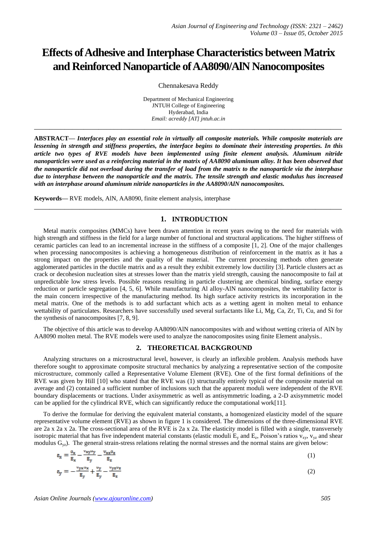# **Effects of Adhesive and Interphase Characteristics between Matrix and Reinforced Nanoparticle of AA8090/AlN Nanocomposites**

Chennakesava Reddy

Department of Mechanical Engineering JNTUH College of Engineering Hyderabad, India *Email: acreddy [AT] jntuh.ac.in*

**\_\_\_\_\_\_\_\_\_\_\_\_\_\_\_\_\_\_\_\_\_\_\_\_\_\_\_\_\_\_\_\_\_\_\_\_\_\_\_\_\_\_\_\_\_\_\_\_\_\_\_\_\_\_\_\_\_\_\_\_\_\_\_\_\_\_\_\_\_\_\_\_\_\_\_\_\_\_\_\_\_**

**ABSTRACT—** *Interfaces play an essential role in virtually all composite materials. While composite materials are lessening in strength and stiffness properties, the interface begins to dominate their interesting properties. In this article two types of RVE models have been implemented using finite element analysis. Aluminum nitride nanoparticles were used as a reinforcing material in the matrix of AA8090 aluminum alloy. It has been observed that the nanoparticle did not overload during the transfer of load from the matrix to the nanoparticle via the interphase due to interphase between the nanoparticle and the matrix. The tensile strength and elastic modulus has increased with an interphase around aluminum nitride nanoparticles in the AA8090/AlN nanocomposites.*

**Keywords—** RVE models, AlN, AA8090, finite element analysis, interphase

# **1. INTRODUCTION**

**\_\_\_\_\_\_\_\_\_\_\_\_\_\_\_\_\_\_\_\_\_\_\_\_\_\_\_\_\_\_\_\_\_\_\_\_\_\_\_\_\_\_\_\_\_\_\_\_\_\_\_\_\_\_\_\_\_\_\_\_\_\_\_\_\_\_\_\_\_\_\_\_\_\_\_\_\_\_\_\_\_**

Metal matrix composites (MMCs) have been drawn attention in recent years owing to the need for materials with high strength and stiffness in the field for a large number of functional and structural applications. The higher stiffness of ceramic particles can lead to an incremental increase in the stiffness of a composite [1, 2]. One of the major challenges when processing nanocomposites is achieving a homogeneous distribution of reinforcement in the matrix as it has a strong impact on the properties and the quality of the material. The current processing methods often generate agglomerated particles in the ductile matrix and as a result they exhibit extremely low ductility [3]. Particle clusters act as crack or decohesion nucleation sites at stresses lower than the matrix yield strength, causing the nanocomposite to fail at unpredictable low stress levels. Possible reasons resulting in particle clustering are chemical binding, surface energy reduction or particle segregation [4, 5, 6]. While manufacturing Al alloy-AlN nanocomposites, the wettability factor is the main concern irrespective of the manufacturing method. Its high surface activity restricts its incorporation in the metal matrix. One of the methods is to add surfactant which acts as a wetting agent in molten metal to enhance wettability of particulates. Researchers have successfully used several surfactants like Li, Mg, Ca, Zr, Ti, Cu, and Si for the synthesis of nanocomposites [7, 8, 9].

The objective of this article was to develop AA8090/AlN nanocomposites with and without wetting criteria of AlN by AA8090 molten metal. The RVE models were used to analyze the nanocomposites using finite Element analysis..

#### **2. THEORETICAL BACKGROUND**

Analyzing structures on a microstructural level, however, is clearly an inflexible problem. Analysis methods have therefore sought to approximate composite structural mechanics by analyzing a representative section of the composite microstructure, commonly called a Representative Volume Element (RVE). One of the first formal definitions of the RVE was given by Hill [10] who stated that the RVE was (1) structurally entirely typical of the composite material on average and (2) contained a sufficient number of inclusions such that the apparent moduli were independent of the RVE boundary displacements or tractions. Under axisymmetric as well as antisymmetric loading, a 2-D axisymmetric model can be applied for the cylindrical RVE, which can significantly reduce the computational work[11].

To derive the formulae for deriving the equivalent material constants, a homogenized elasticity model of the square representative volume element (RVE) as shown in figure 1 is considered. The dimensions of the three-dimensional RVE are 2a x 2a x 2a. The cross-sectional area of the RVE is 2a x 2a. The elasticity model is filled with a single, transversely isotropic material that has five independent material constants (elastic moduli  $E_y$  and  $E_z$ , Poison's ratios  $v_{xy}$ ,  $v_{yz}$  and shear modulus  $G_{vz}$ ). The general strain-stress relations relating the normal stresses and the normal stains are given below:

$$
e_x = \frac{\sigma_x}{E_x} - \frac{v_{xy}v_y}{E_y} - \frac{v_{xz}\sigma_z}{E_z}
$$
  
\n
$$
e_y = -\frac{v_{yx}v_x}{E_y} + \frac{v_y}{E_y} - \frac{v_{yz}v_z}{E_z}
$$
  
\n(1)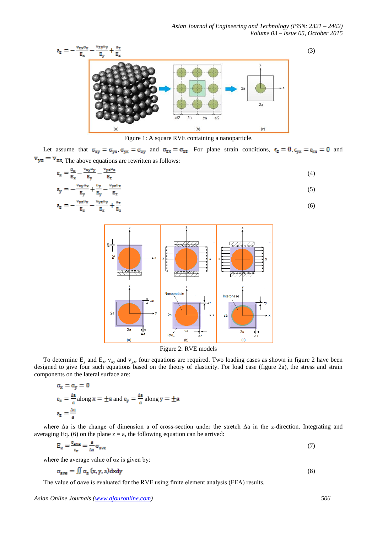

Figure 1: A square RVE containing a nanoparticle.

Let assume that  $\sigma_{xy} = \sigma_{yx}, \sigma_{yz} = \sigma_{zy}$  and  $\sigma_{zx} = \sigma_{xz}$ . For plane strain conditions,  $\epsilon_z = 0$ ,  $\epsilon_{yz} = \epsilon_{zx} = 0$  and  $v_{yz} = v_{zx}$ . The above equations are rewritten as follows:

$$
\varepsilon_{\mathbf{x}} = \frac{\sigma_{\mathbf{x}}}{\mathbf{E}_{\mathbf{x}}} - \frac{\mathbf{v}_{\mathbf{x}\mathbf{y}}\mathbf{v}_{\mathbf{y}}}{\mathbf{E}_{\mathbf{y}}} - \frac{\mathbf{v}_{\mathbf{y}\mathbf{z}}\mathbf{v}_{\mathbf{z}}}{\mathbf{E}_{\mathbf{z}}}
$$
(4)  

$$
\varepsilon_{\mathbf{y}} = -\frac{\mathbf{v}_{\mathbf{x}\mathbf{y}}\mathbf{v}_{\mathbf{x}}}{\mathbf{E}_{\mathbf{y}}} + \frac{\mathbf{v}_{\mathbf{y}}}{\mathbf{E}_{\mathbf{y}}} - \frac{\mathbf{v}_{\mathbf{y}\mathbf{z}}\mathbf{v}_{\mathbf{z}}}{\mathbf{E}_{\mathbf{z}}}
$$
(5)

$$
\varepsilon_{\mathbf{z}} = -\frac{\mathbf{v}_{\mathbf{y}\mathbf{z}}\mathbf{v}_{\mathbf{x}}}{\mathbf{g}_{\mathbf{z}}} - \frac{\mathbf{v}_{\mathbf{y}\mathbf{z}}\mathbf{v}_{\mathbf{y}}}{\mathbf{g}_{\mathbf{z}}} + \frac{\sigma_{\mathbf{z}}}{\mathbf{g}_{\mathbf{z}}} \tag{6}
$$



Figure 2: RVE models

To determine  $E_y$  and  $E_z$ ,  $v_{xy}$  and  $v_{yz}$ , four equations are required. Two loading cases as shown in figure 2 have been designed to give four such equations based on the theory of elasticity. For load case (figure 2a), the stress and strain components on the lateral surface are:

$$
\sigma_x = \sigma_y = 0
$$
  
\n
$$
\varepsilon_x = \frac{\Delta a}{a} \text{ along } x = \pm a \text{ and } \varepsilon_y = \frac{\Delta a}{a} \text{ along } y = \pm a
$$
  
\n
$$
\varepsilon_z = \frac{\Delta a}{a}
$$

where ∆a is the change of dimension a of cross-section under the stretch ∆a in the z-direction. Integrating and averaging Eq. (6) on the plane  $z = a$ , the following equation can be arrived:

$$
E_z = \frac{\sigma_{\text{ave}}}{\epsilon_z} = \frac{a}{\Delta a} \sigma_{\text{ave}} \tag{7}
$$

where the average value of  $\sigma z$  is given by:

$$
\sigma_{\text{ave}} = \iint \sigma_{\text{z}} \left( x, y, a \right) \, \text{d}x \, \text{d}y \tag{8}
$$

The value of σave is evaluated for the RVE using finite element analysis (FEA) results.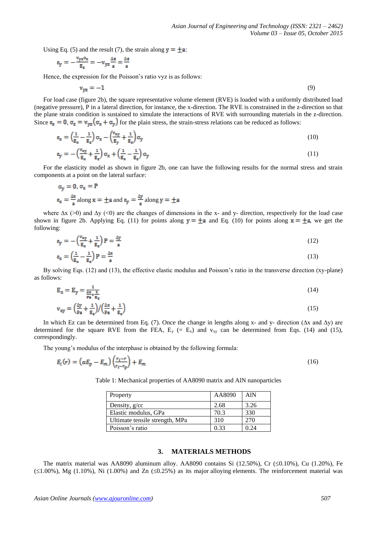Using Eq. (5) and the result (7), the strain along  $\mathbf{y} = \pm \mathbf{a}$ .

$$
\epsilon_y = -\frac{v_{yz}\sigma_z}{E_z} = -v_{yz}\frac{\Delta a}{a} = \frac{\Delta a}{a}
$$

Hence, the expression for the Poisson's ratio vyz is as follows:

$$
v_{yz} = -1 \tag{9}
$$

For load case (figure 2b), the square representative volume element (RVE) is loaded with a uniformly distributed load (negative pressure), P in a lateral direction, for instance, the x-direction. The RVE is constrained in the z-direction so that the plane strain condition is sustained to simulate the interactions of RVE with surrounding materials in the z-direction. Since  $\epsilon_z = 0$ ,  $\sigma_z = v_{yz}(\sigma_x + \sigma_y)$  for the plain stress, the strain-stress relations can be reduced as follows:

$$
\varepsilon_{x} = \left(\frac{1}{E_{x}} - \frac{1}{E_{z}}\right) \sigma_{x} - \left(\frac{v_{xy}}{E_{y}} + \frac{1}{E_{z}}\right) \sigma_{y} \tag{10}
$$

$$
\mathbf{e}_{\mathbf{y}} = -\left(\frac{\mathbf{v}_{\mathbf{xy}}}{\mathbf{E}_{\mathbf{x}}} + \frac{1}{\mathbf{E}_{\mathbf{z}}}\right)\sigma_{\mathbf{x}} + \left(\frac{1}{\mathbf{E}_{\mathbf{x}}} - \frac{1}{\mathbf{E}_{\mathbf{z}}}\right)\sigma_{\mathbf{y}}\tag{11}
$$

For the elasticity model as shown in figure 2b, one can have the following results for the normal stress and strain components at a point on the lateral surface:

$$
\sigma_y = 0, \sigma_x = P
$$
  
 $\varepsilon_x = \frac{\Delta x}{a}$  along  $x = \pm a$  and  $\varepsilon_y = \frac{\Delta y}{a}$  along  $y = \pm a$ 

where  $\Delta x$  (>0) and  $\Delta y$  (<0) are the changes of dimensions in the x- and y- direction, respectively for the load case shown in figure 2b. Applying Eq. (11) for points along  $y = \pm a$  and Eq. (10) for points along  $x = \pm a$ , we get the following:

$$
\varepsilon_{y} = -\left(\frac{v_{xy}}{E_x} + \frac{1}{E_z}\right)P = \frac{\Delta y}{a}
$$
\n(12)

$$
g_{x} = \left(\frac{1}{g_{x}} - \frac{1}{g_{z}}\right) P = \frac{\Delta x}{a}
$$
\n(13)

By solving Eqs. (12) and (13), the effective elastic modulus and Poisson's ratio in the transverse direction (xy-plane) as follows:

$$
E_x = E_y = \frac{1}{\frac{\Delta x}{Pa} + \frac{1}{E_z}}
$$
(14)

$$
v_{xy} = \left(\frac{\Delta y}{Pa} + \frac{1}{g_z}\right) / \left(\frac{\Delta x}{Pa} + \frac{1}{g_z}\right) \tag{15}
$$

In which Ez can be determined from Eq. (7). Once the change in lengths along x- and y- direction (∆x and ∆y) are determined for the square RVE from the FEA,  $E_y$  (=  $E_x$ ) and  $v_{xy}$  can be determined from Eqs. (14) and (15), correspondingly.

The young's modulus of the interphase is obtained by the following formula:

$$
E_i(r) = \left(\alpha E_p - E_m\right) \left(\frac{r_i - r}{r_i - r_p}\right) + E_m \tag{16}
$$

Table 1: Mechanical properties of AA8090 matrix and AlN nanoparticles

| Property                       | AA8090 | <b>AlN</b> |
|--------------------------------|--------|------------|
| Density, g/cc                  | 2.68   | 3.26       |
| Elastic modulus, GPa           | 70.3   | 330        |
| Ultimate tensile strength, MPa | 310    | 270        |
| Poisson's ratio                | 0.33   | 0.24       |

## **3. MATERIALS METHODS**

The matrix material was AA8090 aluminum alloy. AA8090 contains Si (12.50%), Cr ( $\leq 0.10\%$ ), Cu (1.20%), Fe  $(\leq 1.00\%)$ , Mg (1.10%), Ni (1.00%) and Zn  $(\leq 0.25\%)$  as its major alloying elements. The reinforcement material was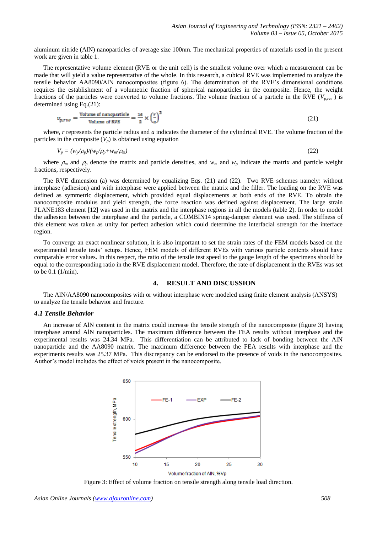aluminum nitride (AlN) nanoparticles of average size 100nm. The mechanical properties of materials used in the present work are given in table 1.

The representative volume element (RVE or the unit cell) is the smallest volume over which a measurement can be made that will yield a value representative of the whole. In this research, a cubical RVE was implemented to analyze the tensile behavior AA8090/AlN nanocomposites (figure 6). The determination of the RVE's dimensional conditions requires the establishment of a volumetric fraction of spherical nanoparticles in the composite. Hence, the weight fractions of the particles were converted to volume fractions. The volume fraction of a particle in the RVE ( $V_{p,re}$ ) is determined using Eq.(21):

$$
v_{p,rv\epsilon} = \frac{\text{Volume of nanoparticle}}{\text{Volume of RVE}} = \frac{16}{3} \times \left(\frac{r}{a}\right)^3 \tag{21}
$$

where, *r* represents the particle radius and *a* indicates the diameter of the cylindrical RVE. The volume fraction of the particles in the composite  $(V_p)$  is obtained using equation

$$
V_p = (w_p/\rho_p)/(w_p/\rho_p + w_m/\rho_m) \tag{22}
$$

where  $\rho_m$  and  $\rho_p$  denote the matrix and particle densities, and  $w_m$  and  $w_p$  indicate the matrix and particle weight fractions, respectively.

The RVE dimension (a) was determined by equalizing Eqs. (21) and (22). Two RVE schemes namely: without interphase (adhesion) and with interphase were applied between the matrix and the filler. The loading on the RVE was defined as symmetric displacement, which provided equal displacements at both ends of the RVE. To obtain the nanocomposite modulus and yield strength, the force reaction was defined against displacement. The large strain PLANE183 element [12] was used in the matrix and the interphase regions in all the models (table 2). In order to model the adhesion between the interphase and the particle, a COMBIN14 spring-damper element was used. The stiffness of this element was taken as unity for perfect adhesion which could determine the interfacial strength for the interface region.

To converge an exact nonlinear solution, it is also important to set the strain rates of the FEM models based on the experimental tensile tests' setups. Hence, FEM models of different RVEs with various particle contents should have comparable error values. In this respect, the ratio of the tensile test speed to the gauge length of the specimens should be equal to the corresponding ratio in the RVE displacement model. Therefore, the rate of displacement in the RVEs was set to be 0.1 (1/min).

# **4. RESULT AND DISCUSSION**

The AlN/AA8090 nanocomposites with or without interphase were modeled using finite element analysis (ANSYS) to analyze the tensile behavior and fracture.

## *4.1 Tensile Behavior*

An increase of AlN content in the matrix could increase the tensile strength of the nanocomposite (figure 3) having interphase around AlN nanoparticles. The maximum difference between the FEA results without interphase and the experimental results was 24.34 MPa. This differentiation can be attributed to lack of bonding between the AlN nanoparticle and the AA8090 matrix. The maximum difference between the FEA results with interphase and the experiments results was 25.37 MPa. This discrepancy can be endorsed to the presence of voids in the nanocomposites. Author's model includes the effect of voids present in the nanocomposite.



Figure 3: Effect of volume fraction on tensile strength along tensile load direction.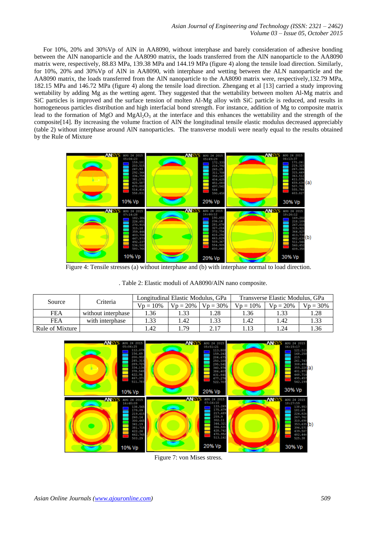For 10%, 20% and 30%Vp of AlN in AA8090, without interphase and barely consideration of adhesive bonding between the AlN nanoparticle and the AA8090 matrix, the loads transferred from the AlN nanoparticle to the AA8090 matrix were, respectively, 88.83 MPa, 139.38 MPa and 144.19 MPa (figure 4) along the tensile load direction. Similarly, for 10%, 20% and 30%Vp of AlN in AA8090, with interphase and wetting between the ALN nanoparticle and the AA8090 matrix, the loads transferred from the AlN nanoparticle to the AA8090 matrix were, respectively,132.79 MPa, 182.15 MPa and 146.72 MPa (figure 4) along the tensile load direction. Zhengang et al [13] carried a study improving wettability by adding Mg as the wetting agent. They suggested that the wettability between molten Al-Mg matrix and SiC particles is improved and the surface tension of molten Al-Mg alloy with SiC particle is reduced, and results in homogeneous particles distribution and high interfacial bond strength. For instance, addition of Mg to composite matrix lead to the formation of MgO and MgAl<sub>2</sub>O<sub>3</sub> at the interface and this enhances the wettability and the strength of the composite[14]. By increasing the volume fraction of AlN the longitudinal tensile elastic modulus decreased appreciably (table 2) without interphase around AlN nanoparticles. The transverse moduli were nearly equal to the results obtained by the Rule of Mixture



Figure 4: Tensile stresses (a) without interphase and (b) with interphase normal to load direction.

|  |  |  |  | . Table 2: Elastic moduli of AA8090/AlN nano composite. |
|--|--|--|--|---------------------------------------------------------|
|--|--|--|--|---------------------------------------------------------|

| Source          | Criteria           | Longitudinal Elastic Modulus, GPa |            | Transverse Elastic Modulus, GPa |                  |            |             |
|-----------------|--------------------|-----------------------------------|------------|---------------------------------|------------------|------------|-------------|
|                 |                    | $Vp = 10%$                        | $Vp = 20%$ | $Vp = 30\%$                     | $Vp = 10%$       | $Vp = 20%$ | $Vp = 30\%$ |
| <b>FEA</b>      | without interphase | 1.36                              |            | .28                             | . 36             | . 33       | 1.28        |
| <b>FEA</b>      | with interphase    | 1.33                              | .42        | . 33                            | $\overline{.42}$ | .42        | 1.33        |
| Rule of Mixture |                    | .42                               | 79         | 217                             | 1.13             | .24        | 1.36        |



Figure 7: von Mises stress.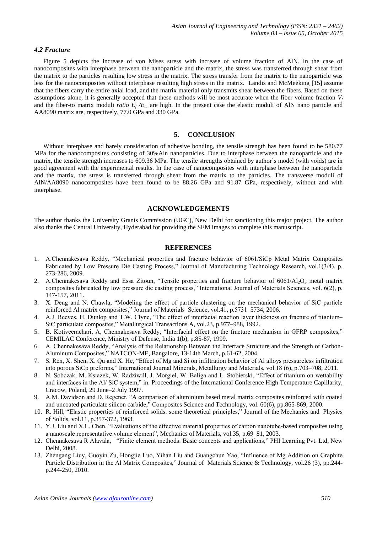#### *4.2 Fracture*

Figure 5 depicts the increase of von Mises stress with increase of volume fraction of AlN. In the case of nanocomposites with interphase between the nanoparticle and the matrix, the stress was transferred through shear from the matrix to the particles resulting low stress in the matrix. The stress transfer from the matrix to the nanoparticle was less for the nanocomposites without interphase resulting high stress in the matrix. Landis and McMeeking [15] assume that the fibers carry the entire axial load, and the matrix material only transmits shear between the fibers. Based on these assumptions alone, it is generally accepted that these methods will be most accurate when the fiber volume fraction  $V_f$ and the fiber-to matrix moduli *ratio*  $E_f/E_m$  are high. In the present case the elastic moduli of AlN nano particle and AA8090 matrix are, respectively, 77.0 GPa and 330 GPa.

## **5. CONCLUSION**

Without interphase and barely consideration of adhesive bonding, the tensile strength has been found to be 580.77 MPa for the nanocomposites consisting of 30%Aln nanoparticles. Due to interphase between the nanoparticle and the matrix, the tensile strength increases to 609.36 MPa. The tensile strengths obtained by author's model (with voids) are in good agreement with the experimental results. In the case of nanocomposites with interphase between the nanoparticle and the matrix, the stress is transferred through shear from the matrix to the particles. The transverse moduli of AlN/AA8090 nanocomposites have been found to be 88.26 GPa and 91.87 GPa, respectively, without and with interphase.

## **ACKNOWLEDGEMENTS**

The author thanks the University Grants Commission (UGC), New Delhi for sanctioning this major project. The author also thanks the Central University, Hyderabad for providing the SEM images to complete this manuscript.

#### **REFERENCES**

- 1. A.Chennakesava Reddy, "Mechanical properties and fracture behavior of 6061/SiCp Metal Matrix Composites Fabricated by Low Pressure Die Casting Process," Journal of Manufacturing Technology Research, vol.1(3/4), p. 273-286, 2009.
- 2. A.Chennakesava Reddy and Essa Zitoun, "Tensile properties and fracture behavior of  $6061/Al<sub>2</sub>O<sub>3</sub>$  metal matrix composites fabricated by low pressure die casting process," International Journal of Materials Sciences, vol. 6(2), p. 147-157, 2011.
- 3. X. Deng and N. Chawla, "Modeling the effect of particle clustering on the mechanical behavior of SiC particle reinforced Al matrix composites," Journal of Materials Science, vol.41, p.5731–5734, 2006.
- 4. A.J. Reeves, H. Dunlop and T.W. Clyne, "The effect of interfacial reaction layer thickness on fracture of titanium– SiC particulate composites," Metallurgical Transactions A, vol.23, p.977–988, 1992.
- 5. B. Kotiveerachari, A, Chennakesava Reddy, "Interfacial effect on the fracture mechanism in GFRP composites," CEMILAC Conference, Ministry of Defense, India 1(b), p.85-87, 1999.
- 6. A. Chennakesava Reddy, "Analysis of the Relationship Between the Interface Structure and the Strength of Carbon-Aluminum Composites," NATCON-ME, Bangalore, 13-14th March, p.61-62, 2004.
- 7. S. Ren, X. Shen, X. Qu and X. He, "Effect of Mg and Si on infiltration behavior of Al alloys pressureless infiltration into porous SiCp preforms," International Journal Minerals, Metallurgy and Materials, vol.18 (6), p.703–708, 2011.
- 8. N. Sobczak, M. Ksiazek, W. Radziwill, J. Morgiel, W. Baliga and L. Stobierski, "Effect of titanium on wettability and interfaces in the Al/ SiC system," in: Proceedings of the International Conference High Temperature Capillarity, Cracow, Poland, 29 June–2 July 1997.
- 9. A.M. Davidson and D. Regener, "A comparison of aluminium based metal matrix composites reinforced with coated and uncoated particulate silicon carbide," Composites Science and Technology, vol. 60(6), pp.865-869, 2000.
- 10. R. Hill, "Elastic properties of reinforced solids: some theoretical principles," Journal of the Mechanics and Physics of Solids, vol.11, p.357-372, 1963.
- 11. Y.J. Liu and X.L. Chen, "Evaluations of the effective material properties of carbon nanotube-based composites using a nanoscale representative volume element", Mechanics of Materials, vol.35, p.69–81, 2003.
- 12. Chennakesava R Alavala, "Finite element methods: Basic concepts and applications," PHI Learning Pvt. Ltd, New Delhi, 2008.
- 13. Zhengang Liuy, Guoyin Zu, Hongjie Luo, Yihan Liu and Guangchun Yao, "Influence of Mg Addition on Graphite Particle Distribution in the Al Matrix Composites," Journal of Materials Science & Technology, vol.26 (3), pp.244 p.244-250, 2010.